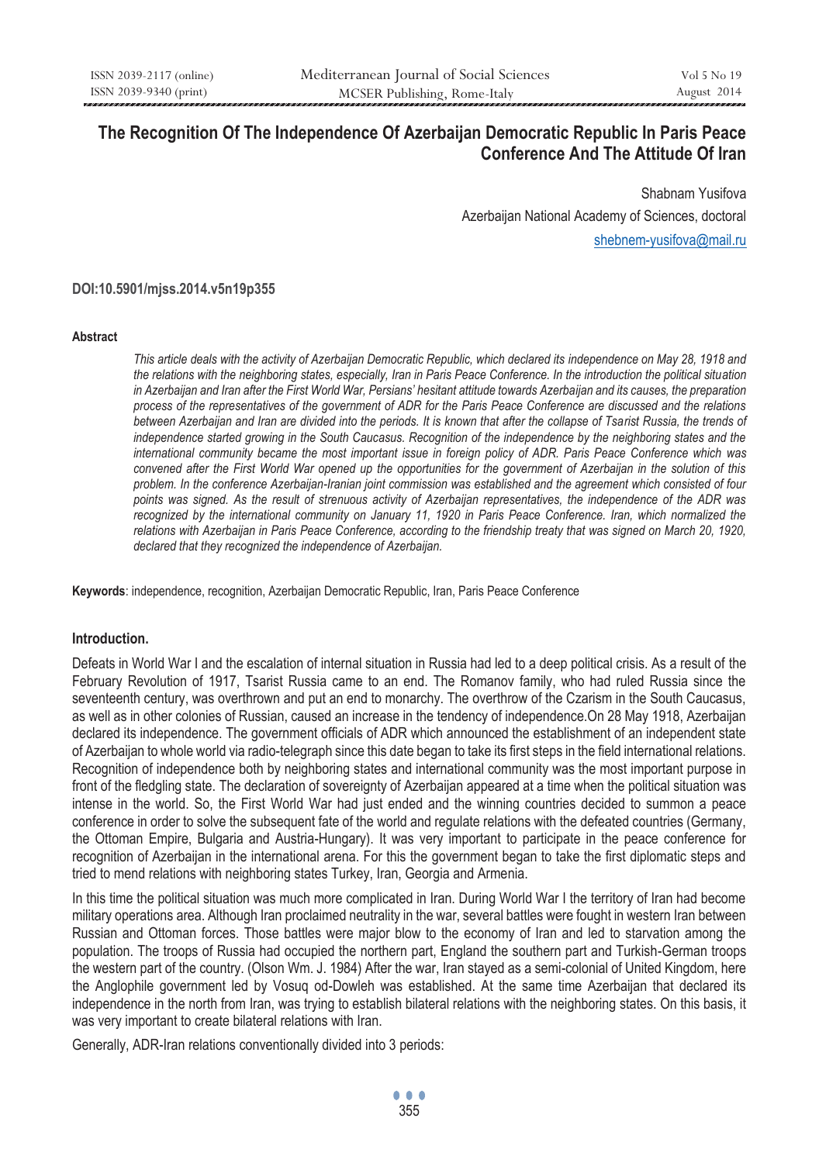# **The Recognition Of The Independence Of Azerbaijan Democratic Republic In Paris Peace Conference And The Attitude Of Iran**

 Shabnam Yusifova Azerbaijan National Academy of Sciences, doctoral shebnem-yusifova@mail.ru

**DOI:10.5901/mjss.2014.v5n19p355** 

#### **Abstract**

*This article deals with the activity of Azerbaijan Democratic Republic, which declared its independence on May 28, 1918 and the relations with the neighboring states, especially, Iran in Paris Peace Conference. In the introduction the political situation in Azerbaijan and Iran after the First World War, Persians' hesitant attitude towards Azerbaijan and its causes, the preparation process of the representatives of the government of ADR for the Paris Peace Conference are discussed and the relations*  between Azerbaijan and Iran are divided into the periods. It is known that after the collapse of Tsarist Russia, the trends of *independence started growing in the South Caucasus. Recognition of the independence by the neighboring states and the international community became the most important issue in foreign policy of ADR. Paris Peace Conference which was convened after the First World War opened up the opportunities for the government of Azerbaijan in the solution of this problem. In the conference Azerbaijan-Iranian joint commission was established and the agreement which consisted of four points was signed. As the result of strenuous activity of Azerbaijan representatives, the independence of the ADR was*  recognized by the international community on January 11, 1920 in Paris Peace Conference. Iran, which normalized the relations with Azerbaijan in Paris Peace Conference, according to the friendship treaty that was signed on March 20, 1920, *declared that they recognized the independence of Azerbaijan.* 

**Keywords**: independence, recognition, Azerbaijan Democratic Republic, Iran, Paris Peace Conference

#### **Introduction.**

Defeats in World War I and the escalation of internal situation in Russia had led to a deep political crisis. As a result of the February Revolution of 1917, Tsarist Russia came to an end. The Romanov family, who had ruled Russia since the seventeenth century, was overthrown and put an end to monarchy. The overthrow of the Czarism in the South Caucasus, as well as in other colonies of Russian, caused an increase in the tendency of independence.On 28 May 1918, Azerbaijan declared its independence. The government officials of ADR which announced the establishment of an independent state of Azerbaijan to whole world via radio-telegraph since this date began to take its first steps in the field international relations. Recognition of independence both by neighboring states and international community was the most important purpose in front of the fledgling state. The declaration of sovereignty of Azerbaijan appeared at a time when the political situation was intense in the world. So, the First World War had just ended and the winning countries decided to summon a peace conference in order to solve the subsequent fate of the world and regulate relations with the defeated countries (Germany, the Ottoman Empire, Bulgaria and Austria-Hungary). It was very important to participate in the peace conference for recognition of Azerbaijan in the international arena. For this the government began to take the first diplomatic steps and tried to mend relations with neighboring states Turkey, Iran, Georgia and Armenia.

In this time the political situation was much more complicated in Iran. During World War I the territory of Iran had become military operations area. Although Iran proclaimed neutrality in the war, several battles were fought in western Iran between Russian and Ottoman forces. Those battles were major blow to the economy of Iran and led to starvation among the population. The troops of Russia had occupied the northern part, England the southern part and Turkish-German troops the western part of the country. (Olson Wm. J. 1984) After the war, Iran stayed as a semi-colonial of United Kingdom, here the Anglophile government led by Vosuq od-Dowleh was established. At the same time Azerbaijan that declared its independence in the north from Iran, was trying to establish bilateral relations with the neighboring states. On this basis, it was very important to create bilateral relations with Iran.

Generally, ADR-Iran relations conventionally divided into 3 periods: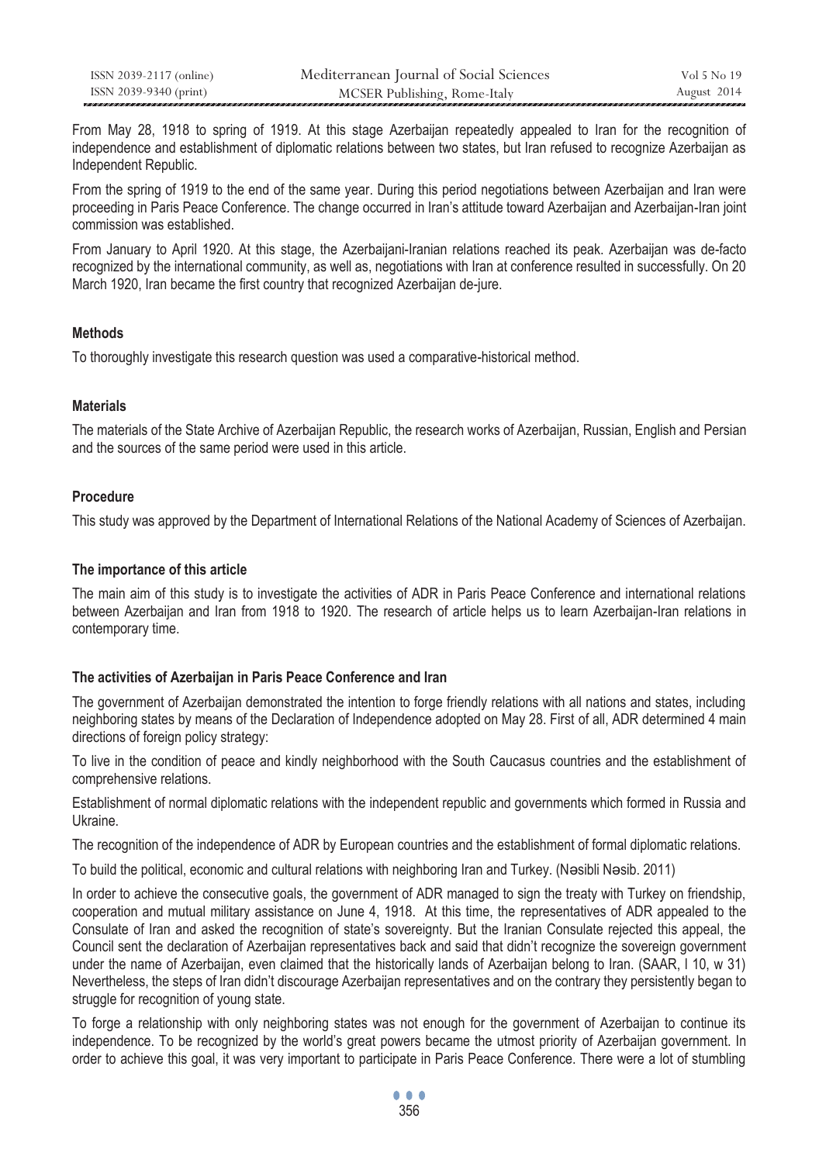| ISSN 2039-2117 (online) | Mediterranean Journal of Social Sciences | Vol 5 No 19 |
|-------------------------|------------------------------------------|-------------|
| ISSN 2039-9340 (print)  | MCSER Publishing, Rome-Italy             | August 2014 |

From May 28, 1918 to spring of 1919. At this stage Azerbaijan repeatedly appealed to Iran for the recognition of independence and establishment of diplomatic relations between two states, but Iran refused to recognize Azerbaijan as Independent Republic.

From the spring of 1919 to the end of the same year. During this period negotiations between Azerbaijan and Iran were proceeding in Paris Peace Conference. The change occurred in Iran's attitude toward Azerbaijan and Azerbaijan-Iran joint commission was established.

From January to April 1920. At this stage, the Azerbaijani-Iranian relations reached its peak. Azerbaijan was de-facto recognized by the international community, as well as, negotiations with Iran at conference resulted in successfully. On 20 March 1920, Iran became the first country that recognized Azerbaijan de-jure.

# **Methods**

To thoroughly investigate this research question was used a comparative-historical method.

## **Materials**

The materials of the State Archive of Azerbaijan Republic, the research works of Azerbaijan, Russian, English and Persian and the sources of the same period were used in this article.

## **Procedure**

This study was approved by the Department of International Relations of the National Academy of Sciences of Azerbaijan.

## **The importance of this article**

The main aim of this study is to investigate the activities of ADR in Paris Peace Conference and international relations between Azerbaijan and Iran from 1918 to 1920. The research of article helps us to learn Azerbaijan-Iran relations in contemporary time.

# **The activities of Azerbaijan in Paris Peace Conference and Iran**

The government of Azerbaijan demonstrated the intention to forge friendly relations with all nations and states, including neighboring states by means of the Declaration of Independence adopted on May 28. First of all, ADR determined 4 main directions of foreign policy strategy:

To live in the condition of peace and kindly neighborhood with the South Caucasus countries and the establishment of comprehensive relations.

Establishment of normal diplomatic relations with the independent republic and governments which formed in Russia and Ukraine.

The recognition of the independence of ADR by European countries and the establishment of formal diplomatic relations.

To build the political, economic and cultural relations with neighboring Iran and Turkey. (Nəsibli Nəsib. 2011)

In order to achieve the consecutive goals, the government of ADR managed to sign the treaty with Turkey on friendship, cooperation and mutual military assistance on June 4, 1918. At this time, the representatives of ADR appealed to the Consulate of Iran and asked the recognition of state's sovereignty. But the Iranian Consulate rejected this appeal, the Council sent the declaration of Azerbaijan representatives back and said that didn't recognize the sovereign government under the name of Azerbaijan, even claimed that the historically lands of Azerbaijan belong to Iran. (SAAR, l 10, w 31) Nevertheless, the steps of Iran didn't discourage Azerbaijan representatives and on the contrary they persistently began to struggle for recognition of young state.

To forge a relationship with only neighboring states was not enough for the government of Azerbaijan to continue its independence. To be recognized by the world's great powers became the utmost priority of Azerbaijan government. In order to achieve this goal, it was very important to participate in Paris Peace Conference. There were a lot of stumbling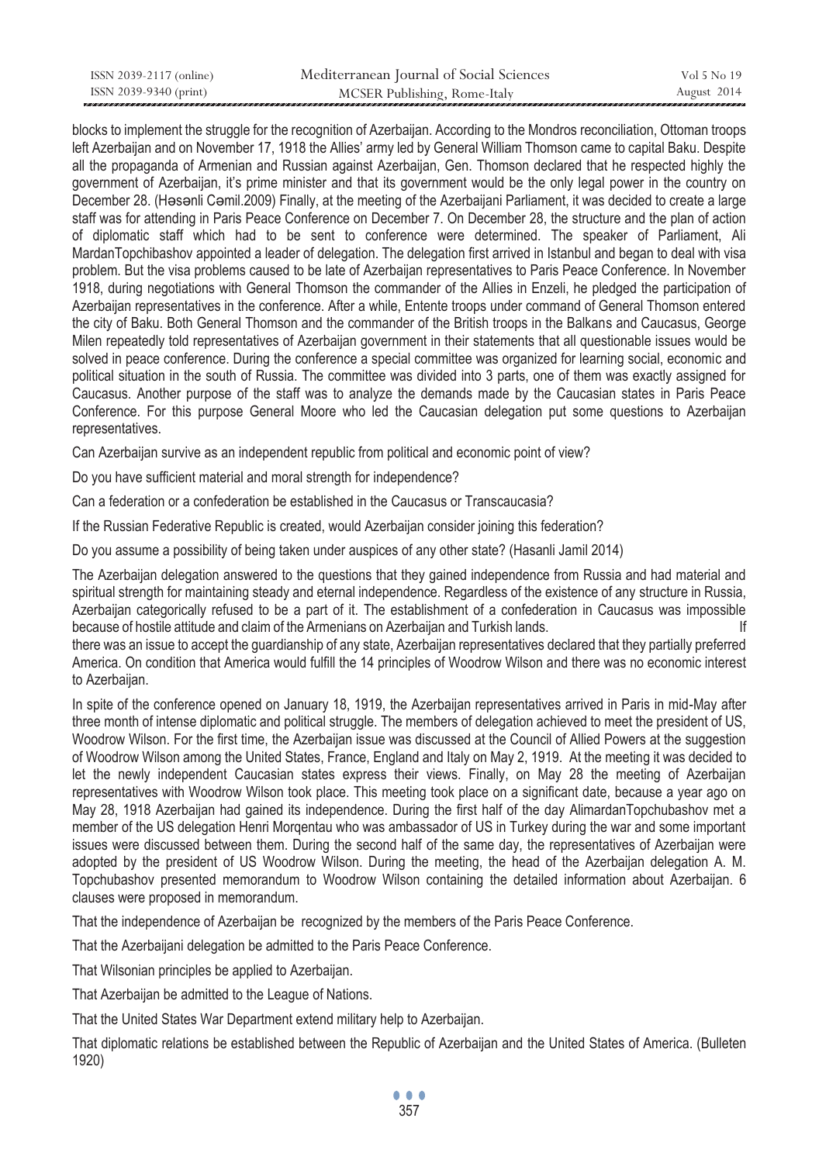| ISSN 2039-2117 (online) | Mediterranean Journal of Social Sciences | Vol 5 No 19 |
|-------------------------|------------------------------------------|-------------|
| ISSN 2039-9340 (print)  | MCSER Publishing, Rome-Italy             | August 2014 |

blocks to implement the struggle for the recognition of Azerbaijan. According to the Mondros reconciliation, Ottoman troops left Azerbaijan and on November 17, 1918 the Allies' army led by General William Thomson came to capital Baku. Despite all the propaganda of Armenian and Russian against Azerbaijan, Gen. Thomson declared that he respected highly the government of Azerbaijan, it's prime minister and that its government would be the only legal power in the country on December 28. (Həsənli Cəmil.2009) Finally, at the meeting of the Azerbaijani Parliament, it was decided to create a large staff was for attending in Paris Peace Conference on December 7. On December 28, the structure and the plan of action of diplomatic staff which had to be sent to conference were determined. The speaker of Parliament, Ali MardanTopchibashov appointed a leader of delegation. The delegation first arrived in Istanbul and began to deal with visa problem. But the visa problems caused to be late of Azerbaijan representatives to Paris Peace Conference. In November 1918, during negotiations with General Thomson the commander of the Allies in Enzeli, he pledged the participation of Azerbaijan representatives in the conference. After a while, Entente troops under command of General Thomson entered the city of Baku. Both General Thomson and the commander of the British troops in the Balkans and Caucasus, George Milen repeatedly told representatives of Azerbaijan government in their statements that all questionable issues would be solved in peace conference. During the conference a special committee was organized for learning social, economic and political situation in the south of Russia. The committee was divided into 3 parts, one of them was exactly assigned for Caucasus. Another purpose of the staff was to analyze the demands made by the Caucasian states in Paris Peace Conference. For this purpose General Moore who led the Caucasian delegation put some questions to Azerbaijan representatives.

Can Azerbaijan survive as an independent republic from political and economic point of view?

Do you have sufficient material and moral strength for independence?

Can a federation or a confederation be established in the Caucasus or Transcaucasia?

If the Russian Federative Republic is created, would Azerbaijan consider joining this federation?

Do you assume a possibility of being taken under auspices of any other state? (Hasanli Jamil 2014)

The Azerbaijan delegation answered to the questions that they gained independence from Russia and had material and spiritual strength for maintaining steady and eternal independence. Regardless of the existence of any structure in Russia, Azerbaijan categorically refused to be a part of it. The establishment of a confederation in Caucasus was impossible because of hostile attitude and claim of the Armenians on Azerbaijan and Turkish lands.

there was an issue to accept the guardianship of any state, Azerbaijan representatives declared that they partially preferred America. On condition that America would fulfill the 14 principles of Woodrow Wilson and there was no economic interest to Azerbaijan.

In spite of the conference opened on January 18, 1919, the Azerbaijan representatives arrived in Paris in mid-May after three month of intense diplomatic and political struggle. The members of delegation achieved to meet the president of US, Woodrow Wilson. For the first time, the Azerbaijan issue was discussed at the Council of Allied Powers at the suggestion of Woodrow Wilson among the United States, France, England and Italy on May 2, 1919. At the meeting it was decided to let the newly independent Caucasian states express their views. Finally, on May 28 the meeting of Azerbaijan representatives with Woodrow Wilson took place. This meeting took place on a significant date, because a year ago on May 28, 1918 Azerbaijan had gained its independence. During the first half of the day AlimardanTopchubashov met a member of the US delegation Henri Morqentau who was ambassador of US in Turkey during the war and some important issues were discussed between them. During the second half of the same day, the representatives of Azerbaijan were adopted by the president of US Woodrow Wilson. During the meeting, the head of the Azerbaijan delegation A. M. Topchubashov presented memorandum to Woodrow Wilson containing the detailed information about Azerbaijan. 6 clauses were proposed in memorandum.

That the independence of Azerbaijan be recognized by the members of the Paris Peace Conference.

That the Azerbaijani delegation be admitted to the Paris Peace Conference.

That Wilsonian principles be applied to Azerbaijan.

That Azerbaijan be admitted to the League of Nations.

That the United States War Department extend military help to Azerbaijan.

That diplomatic relations be established between the Republic of Azerbaijan and the United States of America. (Bulleten 1920)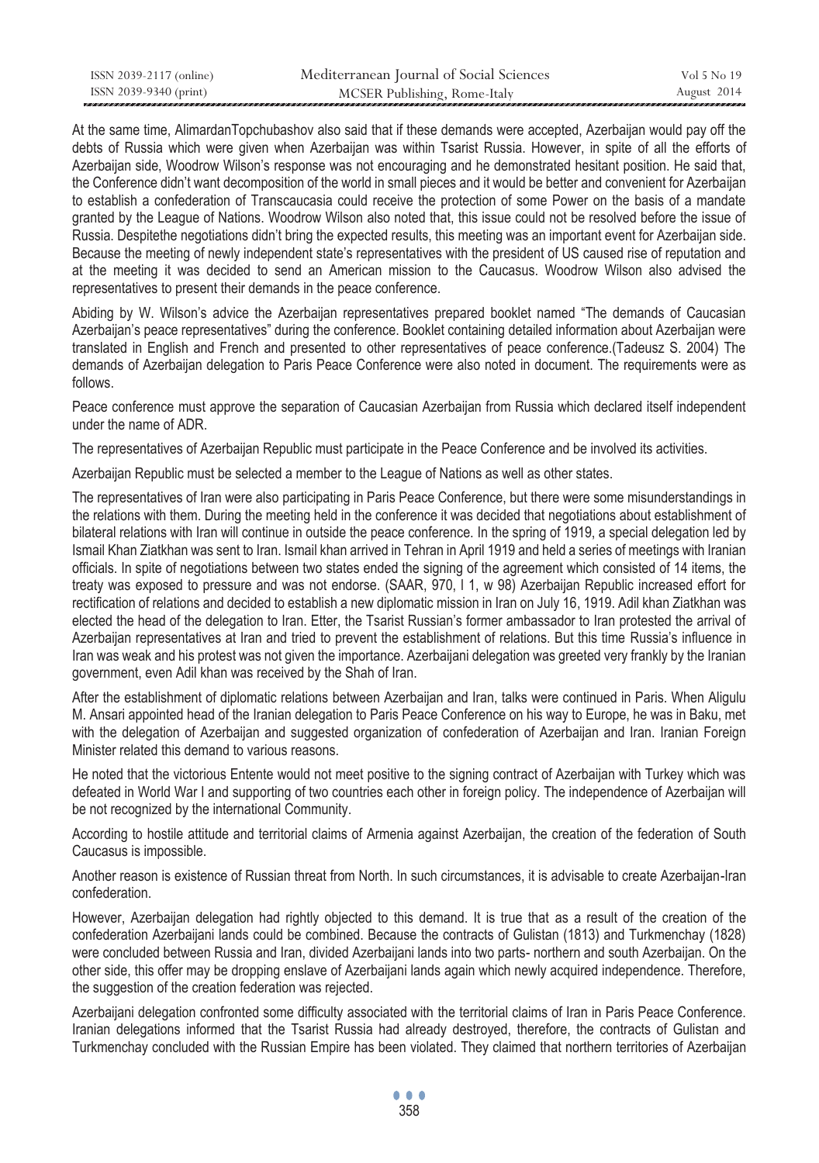| ISSN 2039-2117 (online) | Mediterranean Journal of Social Sciences | Vol 5 No 19 |
|-------------------------|------------------------------------------|-------------|
| ISSN 2039-9340 (print)  | MCSER Publishing, Rome-Italy             | August 2014 |

At the same time, AlimardanTopchubashov also said that if these demands were accepted, Azerbaijan would pay off the debts of Russia which were given when Azerbaijan was within Tsarist Russia. However, in spite of all the efforts of Azerbaijan side, Woodrow Wilson's response was not encouraging and he demonstrated hesitant position. He said that, the Conference didn't want decomposition of the world in small pieces and it would be better and convenient for Azerbaijan to establish a confederation of Transcaucasia could receive the protection of some Power on the basis of a mandate granted by the League of Nations. Woodrow Wilson also noted that, this issue could not be resolved before the issue of Russia. Despitethe negotiations didn't bring the expected results, this meeting was an important event for Azerbaijan side. Because the meeting of newly independent state's representatives with the president of US caused rise of reputation and at the meeting it was decided to send an American mission to the Caucasus. Woodrow Wilson also advised the representatives to present their demands in the peace conference.

Abiding by W. Wilson's advice the Azerbaijan representatives prepared booklet named "The demands of Caucasian Azerbaijan's peace representatives" during the conference. Booklet containing detailed information about Azerbaijan were translated in English and French and presented to other representatives of peace conference.(Tadeusz S. 2004) The demands of Azerbaijan delegation to Paris Peace Conference were also noted in document. The requirements were as follows.

Peace conference must approve the separation of Caucasian Azerbaijan from Russia which declared itself independent under the name of ADR.

The representatives of Azerbaijan Republic must participate in the Peace Conference and be involved its activities.

Azerbaijan Republic must be selected a member to the League of Nations as well as other states.

The representatives of Iran were also participating in Paris Peace Conference, but there were some misunderstandings in the relations with them. During the meeting held in the conference it was decided that negotiations about establishment of bilateral relations with Iran will continue in outside the peace conference. In the spring of 1919, a special delegation led by Ismail Khan Ziatkhan was sent to Iran. Ismail khan arrived in Tehran in April 1919 and held a series of meetings with Iranian officials. In spite of negotiations between two states ended the signing of the agreement which consisted of 14 items, the treaty was exposed to pressure and was not endorse. (SAAR, 970, l 1, w 98) Azerbaijan Republic increased effort for rectification of relations and decided to establish a new diplomatic mission in Iran on July 16, 1919. Adil khan Ziatkhan was elected the head of the delegation to Iran. Etter, the Tsarist Russian's former ambassador to Iran protested the arrival of Azerbaijan representatives at Iran and tried to prevent the establishment of relations. But this time Russia's influence in Iran was weak and his protest was not given the importance. Azerbaijani delegation was greeted very frankly by the Iranian government, even Adil khan was received by the Shah of Iran.

After the establishment of diplomatic relations between Azerbaijan and Iran, talks were continued in Paris. When Aligulu M. Ansari appointed head of the Iranian delegation to Paris Peace Conference on his way to Europe, he was in Baku, met with the delegation of Azerbaijan and suggested organization of confederation of Azerbaijan and Iran. Iranian Foreign Minister related this demand to various reasons.

He noted that the victorious Entente would not meet positive to the signing contract of Azerbaijan with Turkey which was defeated in World War I and supporting of two countries each other in foreign policy. The independence of Azerbaijan will be not recognized by the international Community.

According to hostile attitude and territorial claims of Armenia against Azerbaijan, the creation of the federation of South Caucasus is impossible.

Another reason is existence of Russian threat from North. In such circumstances, it is advisable to create Azerbaijan-Iran confederation.

However, Azerbaijan delegation had rightly objected to this demand. It is true that as a result of the creation of the confederation Azerbaijani lands could be combined. Because the contracts of Gulistan (1813) and Turkmenchay (1828) were concluded between Russia and Iran, divided Azerbaijani lands into two parts- northern and south Azerbaijan. On the other side, this offer may be dropping enslave of Azerbaijani lands again which newly acquired independence. Therefore, the suggestion of the creation federation was rejected.

Azerbaijani delegation confronted some difficulty associated with the territorial claims of Iran in Paris Peace Conference. Iranian delegations informed that the Tsarist Russia had already destroyed, therefore, the contracts of Gulistan and Turkmenchay concluded with the Russian Empire has been violated. They claimed that northern territories of Azerbaijan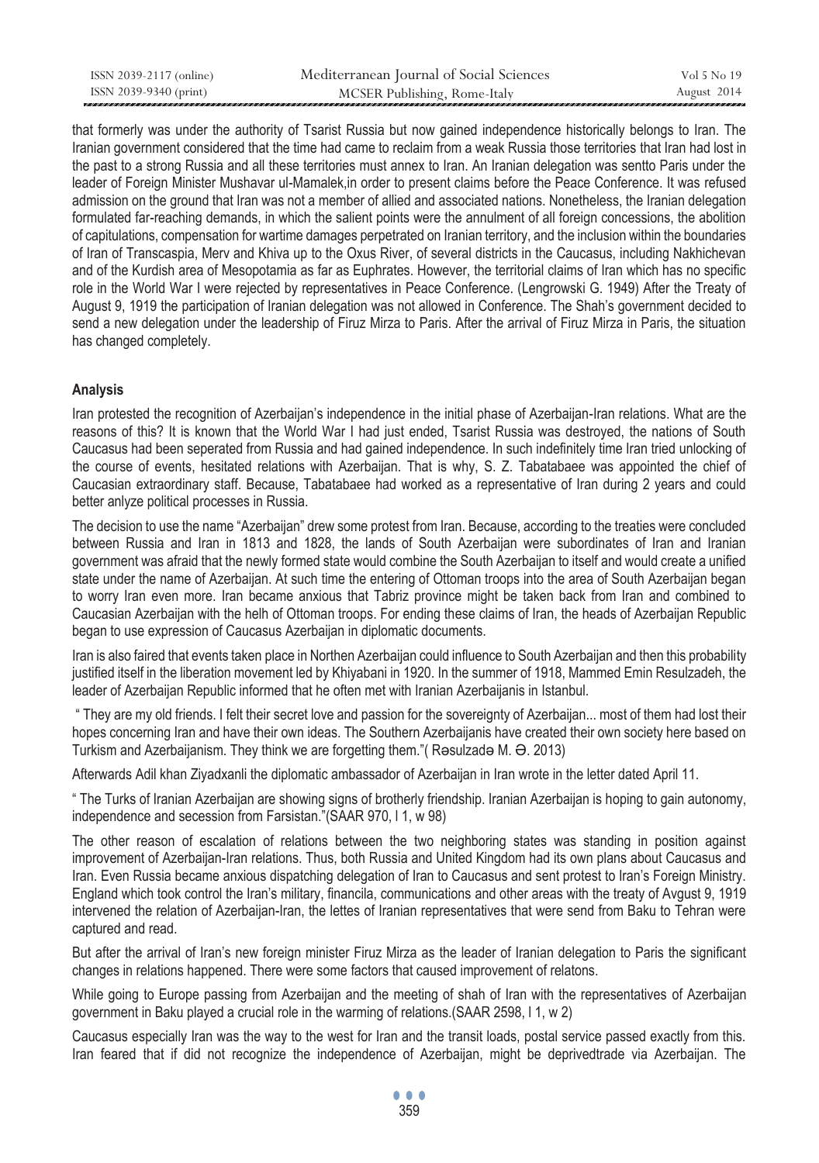| ISSN 2039-2117 (online) | Mediterranean Journal of Social Sciences | Vol 5 No 19 |
|-------------------------|------------------------------------------|-------------|
| ISSN 2039-9340 (print)  | MCSER Publishing, Rome-Italy             | August 2014 |

that formerly was under the authority of Tsarist Russia but now gained independence historically belongs to Iran. The Iranian government considered that the time had came to reclaim from a weak Russia those territories that Iran had lost in the past to a strong Russia and all these territories must annex to Iran. An Iranian delegation was sentto Paris under the leader of Foreign Minister Mushavar ul-Mamalek,in order to present claims before the Peace Conference. It was refused admission on the ground that Iran was not a member of allied and associated nations. Nonetheless, the Iranian delegation formulated far-reaching demands, in which the salient points were the annulment of all foreign concessions, the abolition of capitulations, compensation for wartime damages perpetrated on Iranian territory, and the inclusion within the boundaries of Iran of Transcaspia, Merv and Khiva up to the Oxus River, of several districts in the Caucasus, including Nakhichevan and of the Kurdish area of Mesopotamia as far as Euphrates. However, the territorial claims of Iran which has no specific role in the World War I were rejected by representatives in Peace Conference. (Lengrowski G. 1949) After the Treaty of August 9, 1919 the participation of Iranian delegation was not allowed in Conference. The Shah's government decided to send a new delegation under the leadership of Firuz Mirza to Paris. After the arrival of Firuz Mirza in Paris, the situation has changed completely.

## **Analysis**

Iran protested the recognition of Azerbaijan's independence in the initial phase of Azerbaijan-Iran relations. What are the reasons of this? It is known that the World War I had just ended, Tsarist Russia was destroyed, the nations of South Caucasus had been seperated from Russia and had gained independence. In such indefinitely time Iran tried unlocking of the course of events, hesitated relations with Azerbaijan. That is why, S. Z. Tabatabaee was appointed the chief of Caucasian extraordinary staff. Because, Tabatabaee had worked as a representative of Iran during 2 years and could better anlyze political processes in Russia.

The decision to use the name "Azerbaijan" drew some protest from Iran. Because, according to the treaties were concluded between Russia and Iran in 1813 and 1828, the lands of South Azerbaijan were subordinates of Iran and Iranian government was afraid that the newly formed state would combine the South Azerbaijan to itself and would create a unified state under the name of Azerbaijan. At such time the entering of Ottoman troops into the area of South Azerbaijan began to worry Iran even more. Iran became anxious that Tabriz province might be taken back from Iran and combined to Caucasian Azerbaijan with the helh of Ottoman troops. For ending these claims of Iran, the heads of Azerbaijan Republic began to use expression of Caucasus Azerbaijan in diplomatic documents.

Iran is also faired that events taken place in Northen Azerbaijan could influence to South Azerbaijan and then this probability justified itself in the liberation movement led by Khiyabani in 1920. In the summer of 1918, Mammed Emin Resulzadeh, the leader of Azerbaijan Republic informed that he often met with Iranian Azerbaijanis in Istanbul.

 " They are my old friends. I felt their secret love and passion for the sovereignty of Azerbaijan... most of them had lost their hopes concerning Iran and have their own ideas. The Southern Azerbaijanis have created their own society here based on Turkism and Azerbaijanism. They think we are forgetting them."( Rəsulzadə M. Ə. 2013)

Afterwards Adil khan Ziyadxanli the diplomatic ambassador of Azerbaijan in Iran wrote in the letter dated April 11.

" The Turks of Iranian Azerbaijan are showing signs of brotherly friendship. Iranian Azerbaijan is hoping to gain autonomy, independence and secession from Farsistan."(SAAR 970, l 1, w 98)

The other reason of escalation of relations between the two neighboring states was standing in position against improvement of Azerbaijan-Iran relations. Thus, both Russia and United Kingdom had its own plans about Caucasus and Iran. Even Russia became anxious dispatching delegation of Iran to Caucasus and sent protest to Iran's Foreign Ministry. England which took control the Iran's military, financila, communications and other areas with the treaty of Avgust 9, 1919 intervened the relation of Azerbaijan-Iran, the lettes of Iranian representatives that were send from Baku to Tehran were captured and read.

But after the arrival of Iran's new foreign minister Firuz Mirza as the leader of Iranian delegation to Paris the significant changes in relations happened. There were some factors that caused improvement of relatons.

While going to Europe passing from Azerbaijan and the meeting of shah of Iran with the representatives of Azerbaijan government in Baku played a crucial role in the warming of relations.(SAAR 2598, l 1, w 2)

Caucasus especially Iran was the way to the west for Iran and the transit loads, postal service passed exactly from this. Iran feared that if did not recognize the independence of Azerbaijan, might be deprivedtrade via Azerbaijan. The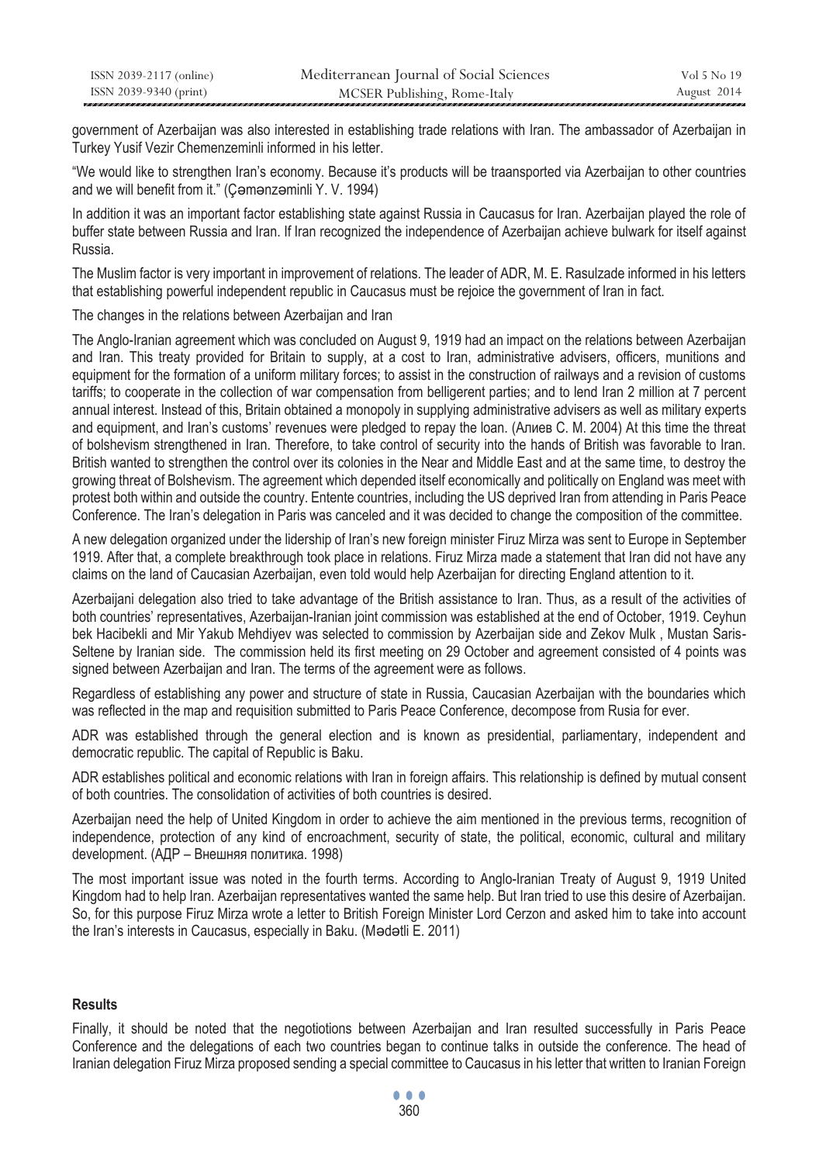| ISSN 2039-2117 (online) | Mediterranean Journal of Social Sciences | Vol 5 No 19 |
|-------------------------|------------------------------------------|-------------|
| ISSN 2039-9340 (print)  | MCSER Publishing, Rome-Italy             | August 2014 |

government of Azerbaijan was also interested in establishing trade relations with Iran. The ambassador of Azerbaijan in Turkey Yusif Vezir Chemenzeminli informed in his letter.

"We would like to strengthen Iran's economy. Because it's products will be traansported via Azerbaijan to other countries and we will benefit from it." (Çəmənzəminli Y. V. 1994)

In addition it was an important factor establishing state against Russia in Caucasus for Iran. Azerbaijan played the role of buffer state between Russia and Iran. If Iran recognized the independence of Azerbaijan achieve bulwark for itself against Russia.

The Muslim factor is very important in improvement of relations. The leader of ADR, M. E. Rasulzade informed in his letters that establishing powerful independent republic in Caucasus must be rejoice the government of Iran in fact.

The changes in the relations between Azerbaijan and Iran

The Anglo-Iranian agreement which was concluded on August 9, 1919 had an impact on the relations between Azerbaijan and Iran. This treaty provided for Britain to supply, at a cost to Iran, administrative advisers, officers, munitions and equipment for the formation of a uniform military forces; to assist in the construction of railways and a revision of customs tariffs; to cooperate in the collection of war compensation from belligerent parties; and to lend Iran 2 million at 7 percent annual interest. Instead of this, Britain obtained a monopoly in supplying administrative advisers as well as military experts and equipment, and Iran's customs' revenues were pledged to repay the loan. (Алиев С. М. 2004) At this time the threat of bolshevism strengthened in Iran. Therefore, to take control of security into the hands of British was favorable to Iran. British wanted to strengthen the control over its colonies in the Near and Middle East and at the same time, to destroy the growing threat of Bolshevism. The agreement which depended itself economically and politically on England was meet with protest both within and outside the country. Entente countries, including the US deprived Iran from attending in Paris Peace Conference. The Iran's delegation in Paris was canceled and it was decided to change the composition of the committee.

A new delegation organized under the lidership of Iran's new foreign minister Firuz Mirza was sent to Europe in September 1919. After that, a complete breakthrough took place in relations. Firuz Mirza made a statement that Iran did not have any claims on the land of Caucasian Azerbaijan, even told would help Azerbaijan for directing England attention to it.

Azerbaijani delegation also tried to take advantage of the British assistance to Iran. Thus, as a result of the activities of both countries' representatives, Azerbaijan-Iranian joint commission was established at the end of October, 1919. Ceyhun bek Hacibekli and Mir Yakub Mehdiyev was selected to commission by Azerbaijan side and Zekov Mulk , Mustan Saris-Seltene by Iranian side. The commission held its first meeting on 29 October and agreement consisted of 4 points was signed between Azerbaijan and Iran. The terms of the agreement were as follows.

Regardless of establishing any power and structure of state in Russia, Caucasian Azerbaijan with the boundaries which was reflected in the map and requisition submitted to Paris Peace Conference, decompose from Rusia for ever.

ADR was established through the general election and is known as presidential, parliamentary, independent and democratic republic. The capital of Republic is Baku.

ADR establishes political and economic relations with Iran in foreign affairs. This relationship is defined by mutual consent of both countries. The consolidation of activities of both countries is desired.

Azerbaijan need the help of United Kingdom in order to achieve the aim mentioned in the previous terms, recognition of independence, protection of any kind of encroachment, security of state, the political, economic, cultural and military development. (АДР – Внешняя политика. 1998)

The most important issue was noted in the fourth terms. According to Anglo-Iranian Treaty of August 9, 1919 United Kingdom had to help Iran. Azerbaijan representatives wanted the same help. But Iran tried to use this desire of Azerbaijan. So, for this purpose Firuz Mirza wrote a letter to British Foreign Minister Lord Cerzon and asked him to take into account the Iran's interests in Caucasus, especially in Baku. (Mədətli E. 2011)

#### **Results**

Finally, it should be noted that the negotiotions between Azerbaijan and Iran resulted successfully in Paris Peace Conference and the delegations of each two countries began to continue talks in outside the conference. The head of Iranian delegation Firuz Mirza proposed sending a special committee to Caucasus in his letter that written to Iranian Foreign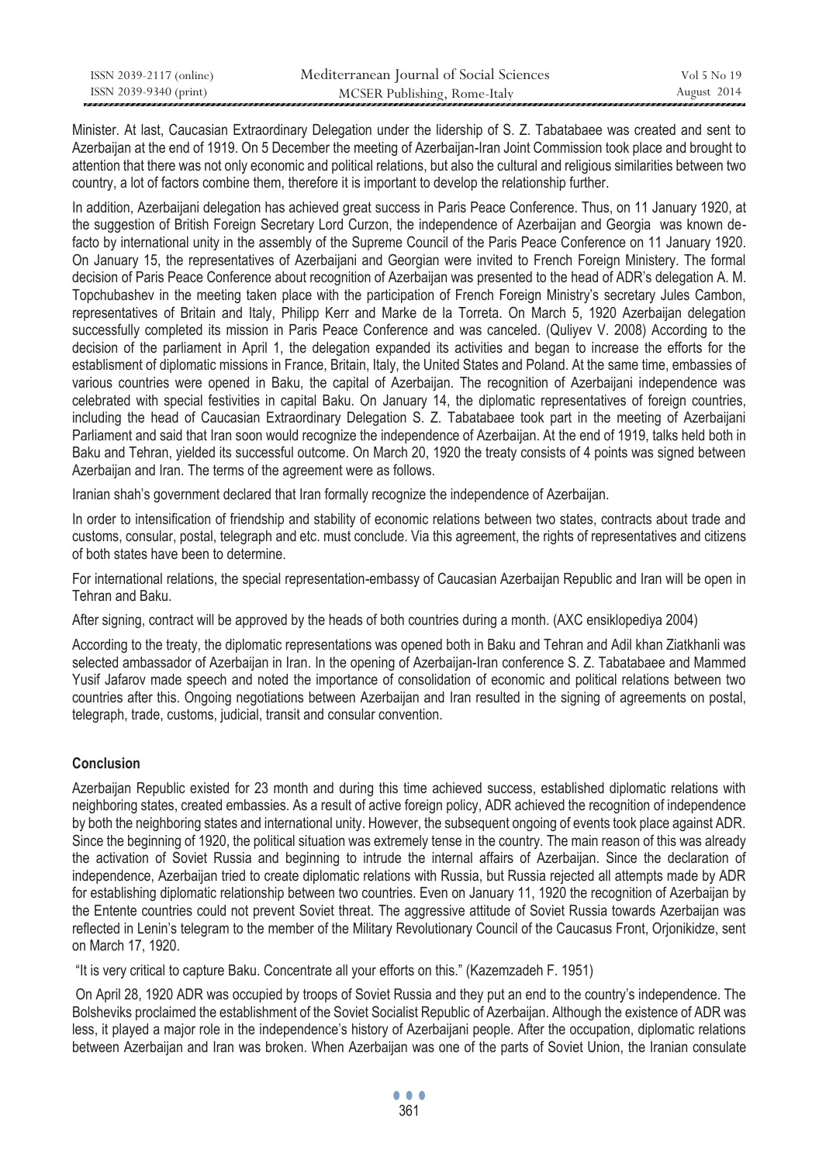| ISSN 2039-2117 (online) | Mediterranean Journal of Social Sciences | Vol 5 No 19 |
|-------------------------|------------------------------------------|-------------|
| ISSN 2039-9340 (print)  | MCSER Publishing, Rome-Italy             | August 2014 |

Minister. At last, Caucasian Extraordinary Delegation under the lidership of S. Z. Tabatabaee was created and sent to Azerbaijan at the end of 1919. On 5 December the meeting of Azerbaijan-Iran Joint Commission took place and brought to attention that there was not only economic and political relations, but also the cultural and religious similarities between two country, a lot of factors combine them, therefore it is important to develop the relationship further.

In addition, Azerbaijani delegation has achieved great success in Paris Peace Conference. Thus, on 11 January 1920, at the suggestion of British Foreign Secretary Lord Curzon, the independence of Azerbaijan and Georgia was known defacto by international unity in the assembly of the Supreme Council of the Paris Peace Conference on 11 January 1920. On January 15, the representatives of Azerbaijani and Georgian were invited to French Foreign Ministery. The formal decision of Paris Peace Conference about recognition of Azerbaijan was presented to the head of ADR's delegation A. M. Topchubashev in the meeting taken place with the participation of French Foreign Ministry's secretary Jules Cambon, representatives of Britain and Italy, Philipp Kerr and Marke de la Torreta. On March 5, 1920 Azerbaijan delegation successfully completed its mission in Paris Peace Conference and was canceled. (Quliyev V. 2008) According to the decision of the parliament in April 1, the delegation expanded its activities and began to increase the efforts for the establisment of diplomatic missions in France, Britain, Italy, the United States and Poland. At the same time, embassies of various countries were opened in Baku, the capital of Azerbaijan. The recognition of Azerbaijani independence was celebrated with special festivities in capital Baku. On January 14, the diplomatic representatives of foreign countries, including the head of Caucasian Extraordinary Delegation S. Z. Tabatabaee took part in the meeting of Azerbaijani Parliament and said that Iran soon would recognize the independence of Azerbaijan. At the end of 1919, talks held both in Baku and Tehran, yielded its successful outcome. On March 20, 1920 the treaty consists of 4 points was signed between Azerbaijan and Iran. The terms of the agreement were as follows.

Iranian shah's government declared that Iran formally recognize the independence of Azerbaijan.

In order to intensification of friendship and stability of economic relations between two states, contracts about trade and customs, consular, postal, telegraph and etc. must conclude. Via this agreement, the rights of representatives and citizens of both states have been to determine.

For international relations, the special representation-embassy of Caucasian Azerbaijan Republic and Iran will be open in Tehran and Baku.

After signing, contract will be approved by the heads of both countries during a month. (AXC ensiklopediya 2004)

According to the treaty, the diplomatic representations was opened both in Baku and Tehran and Adil khan Ziatkhanli was selected ambassador of Azerbaijan in Iran. In the opening of Azerbaijan-Iran conference S. Z. Tabatabaee and Mammed Yusif Jafarov made speech and noted the importance of consolidation of economic and political relations between two countries after this. Ongoing negotiations between Azerbaijan and Iran resulted in the signing of agreements on postal, telegraph, trade, customs, judicial, transit and consular convention.

#### **Conclusion**

Azerbaijan Republic existed for 23 month and during this time achieved success, established diplomatic relations with neighboring states, created embassies. As a result of active foreign policy, ADR achieved the recognition of independence by both the neighboring states and international unity. However, the subsequent ongoing of events took place against ADR. Since the beginning of 1920, the political situation was extremely tense in the country. The main reason of this was already the activation of Soviet Russia and beginning to intrude the internal affairs of Azerbaijan. Since the declaration of independence, Azerbaijan tried to create diplomatic relations with Russia, but Russia rejected all attempts made by ADR for establishing diplomatic relationship between two countries. Even on January 11, 1920 the recognition of Azerbaijan by the Entente countries could not prevent Soviet threat. The aggressive attitude of Soviet Russia towards Azerbaijan was reflected in Lenin's telegram to the member of the Military Revolutionary Council of the Caucasus Front, Orjonikidze, sent on March 17, 1920.

"It is very critical to capture Baku. Concentrate all your efforts on this." (Kazemzadeh F. 1951)

 On April 28, 1920 ADR was occupied by troops of Soviet Russia and they put an end to the country's independence. The Bolsheviks proclaimed the establishment of the Soviet Socialist Republic of Azerbaijan. Although the existence of ADR was less, it played a major role in the independence's history of Azerbaijani people. After the occupation, diplomatic relations between Azerbaijan and Iran was broken. When Azerbaijan was one of the parts of Soviet Union, the Iranian consulate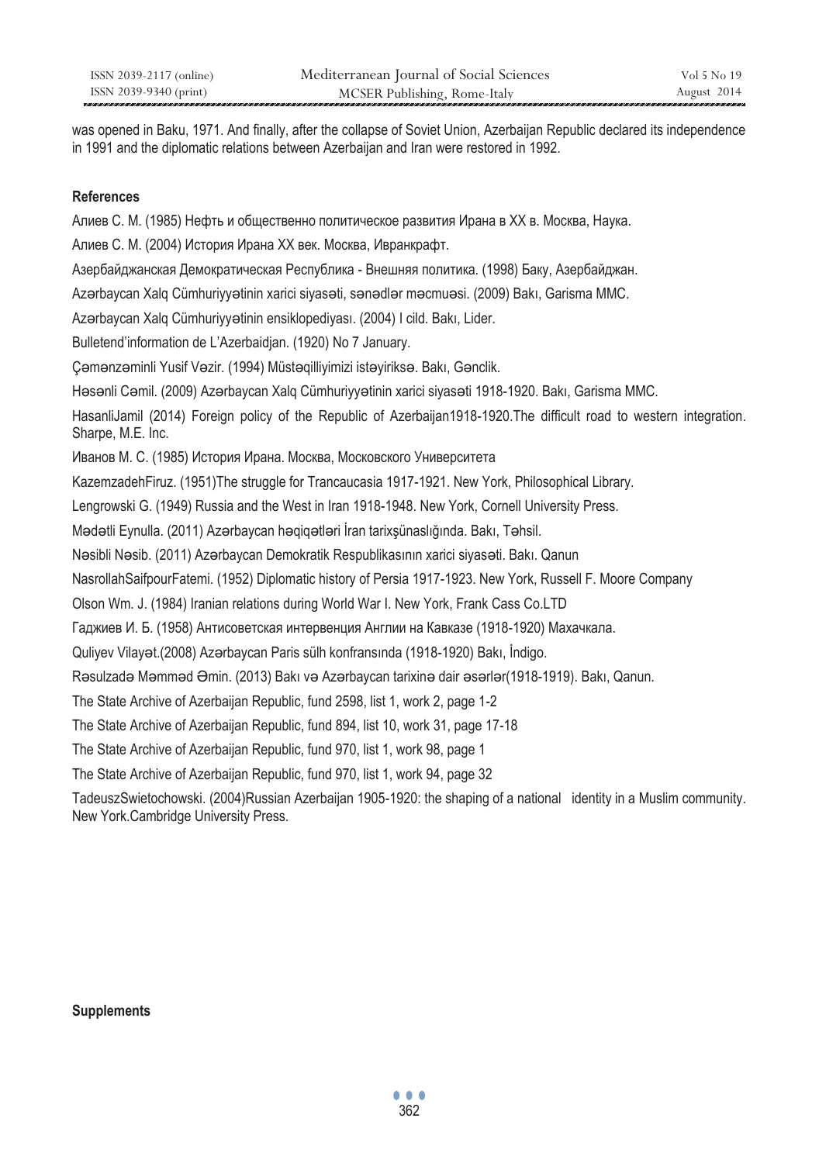was opened in Baku, 1971. And finally, after the collapse of Soviet Union, Azerbaijan Republic declared its independence in 1991 and the diplomatic relations between Azerbaijan and Iran were restored in 1992.

#### **References**

Алиев С. М. (1985) Нефть и общественно политическое развития Ирана в XX в. Москва, Наука. Алиев С. М. (2004) История Ирана XX век. Москва, Ивранкрафт. Азербайджанская Демократическая Республика - Внешняя политика. (1998) Баку, Азербайджан. Azərbaycan Xalq Cümhuriyyətinin xarici siyasəti, sənədlər məcmuəsi. (2009) Bakı, Garisma MMC. Azərbaycan Xalq Cümhuriyyətinin ensiklopediyası. (2004) I cild. Bakı, Lider. Bulletend'information de L'Azerbaidjan. (1920) No 7 January. Çəmənzəminli Yusif Vəzir. (1994) Müstəqilliyimizi istəyiriksə. Bakı, Gənclik. Həsənli Cəmil. (2009) Azərbaycan Xalq Cümhuriyyətinin xarici siyasəti 1918-1920. Bakı, Garisma MMC. HasanliJamil (2014) Foreign policy of the Republic of Azerbaijan1918-1920.The difficult road to western integration. Sharpe, M.E. Inc. Иванов М. С. (1985) История Ирана. Москва, Московского Университета KazemzadehFiruz. (1951)The struggle for Trancaucasia 1917-1921. New York, Philosophical Library. Lengrowski G. (1949) Russia and the West in Iran 1918-1948. New York, Cornell University Press. Mədətli Eynulla. (2011) Azərbaycan həqiqətləri İran tarixşünaslığında. Bakı, Təhsil. Nəsibli Nəsib. (2011) Azərbaycan Demokratik Respublikasının xarici siyasəti. Bakı. Qanun NasrollahSaifpourFatemi. (1952) Diplomatic history of Persia 1917-1923. New York, Russell F. Moore Company Olson Wm. J. (1984) Iranian relations during World War I. New York, Frank Cass Co.LTD Гаджиев И. Б. (1958) Антисоветская интервенция Англии на Кавказе (1918-1920) Махачкала. Quliyev Vilayət.(2008) Azərbaycan Paris sülh konfransında (1918-1920) Bakı, İndigo. Rəsulzadə Məmməd Əmin. (2013) Bakı və Azərbaycan tarixinə dair əsərlər(1918-1919). Bakı, Qanun. The State Archive of Azerbaijan Republic, fund 2598, list 1, work 2, page 1-2 The State Archive of Azerbaijan Republic, fund 894, list 10, work 31, page 17-18 The State Archive of Azerbaijan Republic, fund 970, list 1, work 98, page 1 The State Archive of Azerbaijan Republic, fund 970, list 1, work 94, page 32 TadeuszSwietochowski. (2004)Russian Azerbaijan 1905-1920: the shaping of a national identity in a Muslim community. New York.Cambridge University Press.

**Supplements**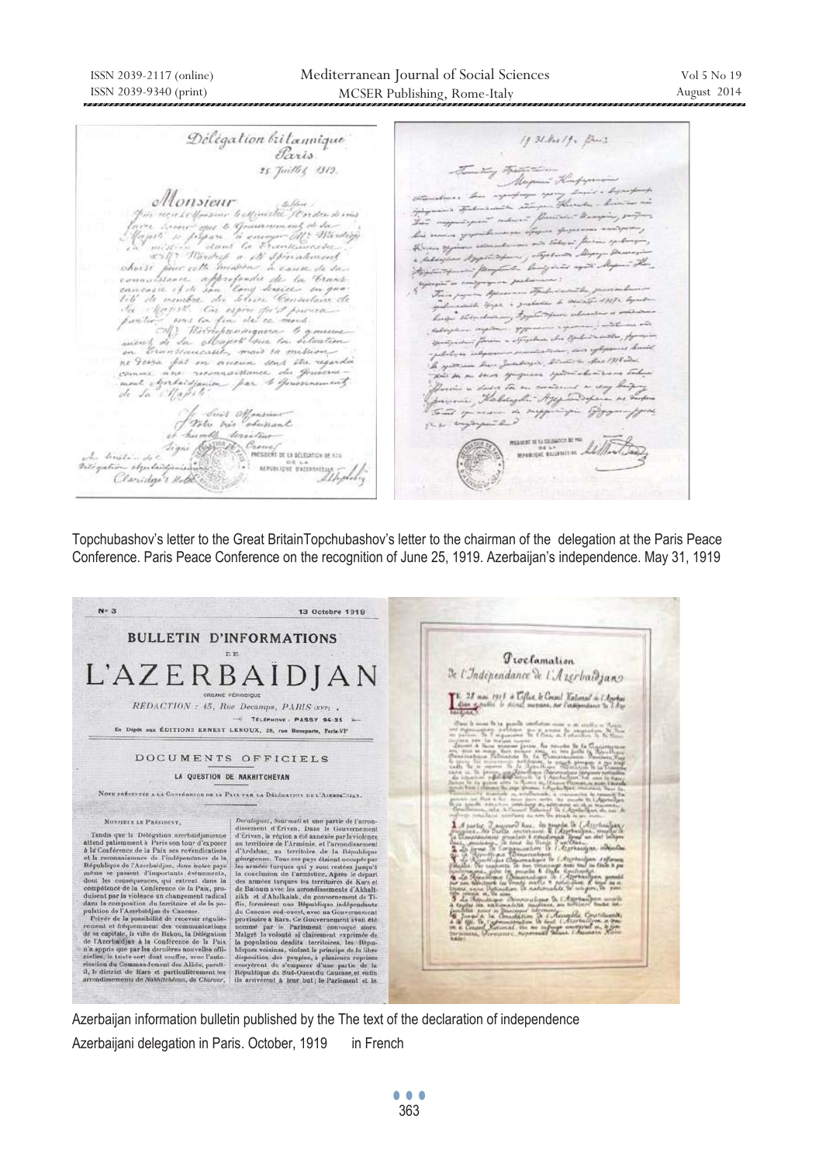Délégation bitannique 19 31 Nos 19, Buis Paris. 25 Taillet 1312. June 7, Fregist Monsieur fin recreably more treatment of the distribution of the same for the same of the same of the same of the same of the same of the same of the same of the same of the same of the same of the same of the same of the same of t and continued flowered in Nor lis min yr an Show - Application , Type the morning personal living and as  $2212.4$ ald live i grab an de mais -<br>"Whenheaven, typical - Prim - offerhar der Ofter University an "Oromscourcaste", mais so mission<br>ne Jeopa - foot an orienna dens steu genoem-<br>comme n'ne - rieonnaitionez du genoem-<br>mmt : forbeidjanin- par 4 genoemment;<br>de Sa : Najes t' -politicas religiosos conversos de la des Madri<br>la système les dynaposis, les es des Madri<br>des los seus roues dynaposes, système de leveres es toda giù pe ne sour spagnan spionachen en son son<br>Derin er daver toe en cantorant en song benza<br>personia, Hobstagdat Azep Engana se ba forcin a davre in en comercial de . to " Un ferti "<br>Interior Monsieure"<br>In the best of densities<br>Interior Tigne (Maritime Channel a concerna and<br>Setti guture objections of the Channel and a common and the<br>Claricage's Well Chan we interested NEWS IN A LEWIS CO. 2014 Claridge's Hotel 

Topchubashov's letter to the Great BritainTopchubashov's letter to the chairman of the delegation at the Paris Peace Conference. Paris Peace Conference on the recognition of June 25, 1919. Azerbaijan's independence. May 31, 1919



Azerbaijan information bulletin published by the The text of the declaration of independence Azerbaijani delegation in Paris. October, 1919 in French